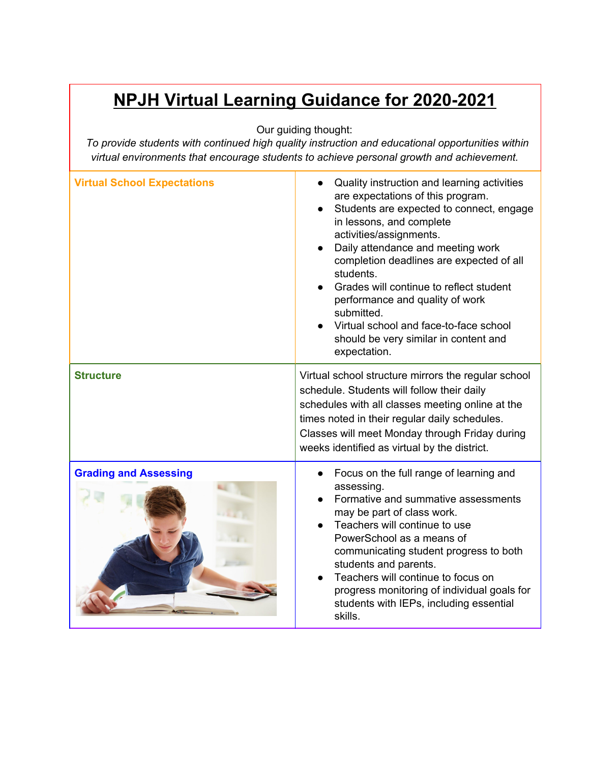## **NPJH Virtual Learning Guidance for 2020-2021**

Our guiding thought:

*To provide students with continued high quality instruction and educational opportunities within virtual environments that encourage students to achieve personal growth and achievement.*

| <b>Virtual School Expectations</b> | Quality instruction and learning activities<br>are expectations of this program.<br>Students are expected to connect, engage<br>in lessons, and complete<br>activities/assignments.<br>Daily attendance and meeting work<br>completion deadlines are expected of all<br>students.<br>Grades will continue to reflect student<br>performance and quality of work<br>submitted.<br>Virtual school and face-to-face school<br>should be very similar in content and<br>expectation. |
|------------------------------------|----------------------------------------------------------------------------------------------------------------------------------------------------------------------------------------------------------------------------------------------------------------------------------------------------------------------------------------------------------------------------------------------------------------------------------------------------------------------------------|
| <b>Structure</b>                   | Virtual school structure mirrors the regular school<br>schedule. Students will follow their daily<br>schedules with all classes meeting online at the<br>times noted in their regular daily schedules.<br>Classes will meet Monday through Friday during<br>weeks identified as virtual by the district.                                                                                                                                                                         |
| <b>Grading and Assessing</b>       | Focus on the full range of learning and<br>assessing.<br>Formative and summative assessments<br>may be part of class work.<br>Teachers will continue to use<br>PowerSchool as a means of<br>communicating student progress to both<br>students and parents.<br>Teachers will continue to focus on<br>progress monitoring of individual goals for<br>students with IEPs, including essential<br>skills.                                                                           |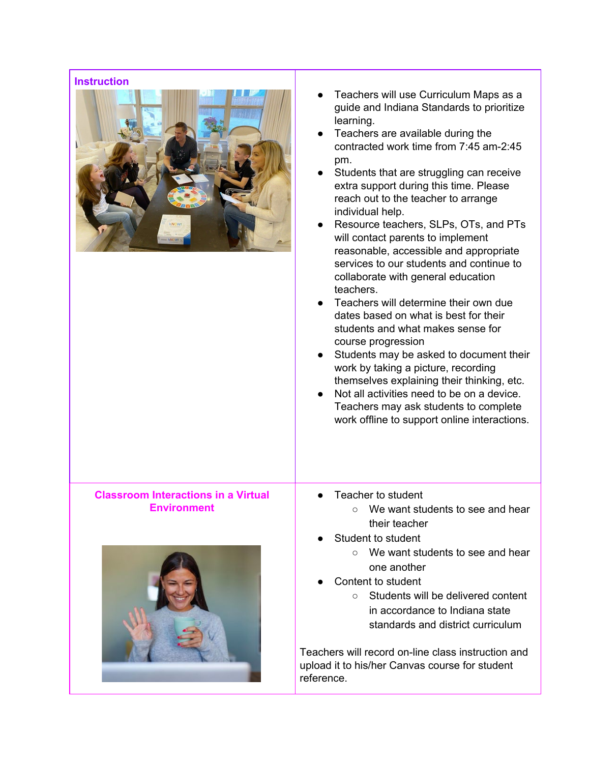| <b>Instruction</b><br><b>kNOW!</b>                        | Teachers will use Curriculum Maps as a<br>guide and Indiana Standards to prioritize<br>learning.<br>Teachers are available during the<br>contracted work time from 7:45 am-2:45<br>pm.<br>Students that are struggling can receive<br>extra support during this time. Please<br>reach out to the teacher to arrange<br>individual help.<br>Resource teachers, SLPs, OTs, and PTs<br>will contact parents to implement<br>reasonable, accessible and appropriate<br>services to our students and continue to<br>collaborate with general education<br>teachers.<br>Teachers will determine their own due<br>dates based on what is best for their<br>students and what makes sense for<br>course progression<br>Students may be asked to document their<br>work by taking a picture, recording<br>themselves explaining their thinking, etc.<br>Not all activities need to be on a device.<br>Teachers may ask students to complete<br>work offline to support online interactions. |
|-----------------------------------------------------------|------------------------------------------------------------------------------------------------------------------------------------------------------------------------------------------------------------------------------------------------------------------------------------------------------------------------------------------------------------------------------------------------------------------------------------------------------------------------------------------------------------------------------------------------------------------------------------------------------------------------------------------------------------------------------------------------------------------------------------------------------------------------------------------------------------------------------------------------------------------------------------------------------------------------------------------------------------------------------------|
| Classroom Interactions in a Virtual<br><b>Environment</b> | Teacher to student<br>We want students to see and hear<br>$\bigcirc$<br>their teacher                                                                                                                                                                                                                                                                                                                                                                                                                                                                                                                                                                                                                                                                                                                                                                                                                                                                                              |
|                                                           | Student to student<br>$\circ$ We want students to see and hear<br>one another<br>Content to student                                                                                                                                                                                                                                                                                                                                                                                                                                                                                                                                                                                                                                                                                                                                                                                                                                                                                |
|                                                           | Students will be delivered content<br>$\circ$<br>in accordance to Indiana state<br>standards and district curriculum                                                                                                                                                                                                                                                                                                                                                                                                                                                                                                                                                                                                                                                                                                                                                                                                                                                               |
|                                                           | Teachers will record on line class instruction and                                                                                                                                                                                                                                                                                                                                                                                                                                                                                                                                                                                                                                                                                                                                                                                                                                                                                                                                 |

Teachers will record on-line class instruction and upload it to his/her Canvas course for student reference.